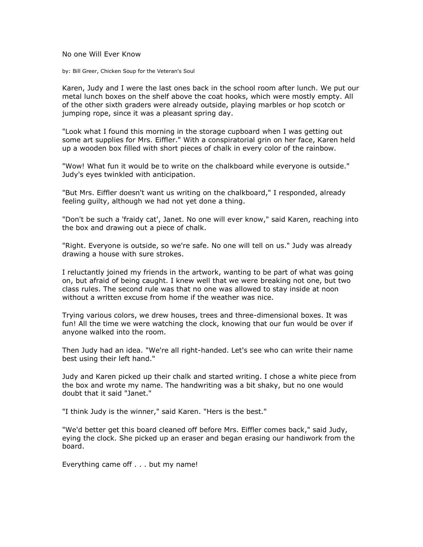No one Will Ever Know

by: Bill Greer, Chicken Soup for the Veteran's Soul

Karen, Judy and I were the last ones back in the school room after lunch. We put our metal lunch boxes on the shelf above the coat hooks, which were mostly empty. All of the other sixth graders were already outside, playing marbles or hop scotch or jumping rope, since it was a pleasant spring day.

"Look what I found this morning in the storage cupboard when I was getting out some art supplies for Mrs. Eiffler." With a conspiratorial grin on her face, Karen held up a wooden box filled with short pieces of chalk in every color of the rainbow.

"Wow! What fun it would be to write on the chalkboard while everyone is outside." Judy's eyes twinkled with anticipation.

"But Mrs. Eiffler doesn't want us writing on the chalkboard," I responded, already feeling guilty, although we had not yet done a thing.

"Don't be such a 'fraidy cat', Janet. No one will ever know," said Karen, reaching into the box and drawing out a piece of chalk.

"Right. Everyone is outside, so we're safe. No one will tell on us." Judy was already drawing a house with sure strokes.

I reluctantly joined my friends in the artwork, wanting to be part of what was going on, but afraid of being caught. I knew well that we were breaking not one, but two class rules. The second rule was that no one was allowed to stay inside at noon without a written excuse from home if the weather was nice.

Trying various colors, we drew houses, trees and three-dimensional boxes. It was fun! All the time we were watching the clock, knowing that our fun would be over if anyone walked into the room.

Then Judy had an idea. "We're all right-handed. Let's see who can write their name best using their left hand."

Judy and Karen picked up their chalk and started writing. I chose a white piece from the box and wrote my name. The handwriting was a bit shaky, but no one would doubt that it said "Janet."

"I think Judy is the winner," said Karen. "Hers is the best."

"We'd better get this board cleaned off before Mrs. Eiffler comes back," said Judy, eying the clock. She picked up an eraser and began erasing our handiwork from the board.

Everything came off . . . but my name!